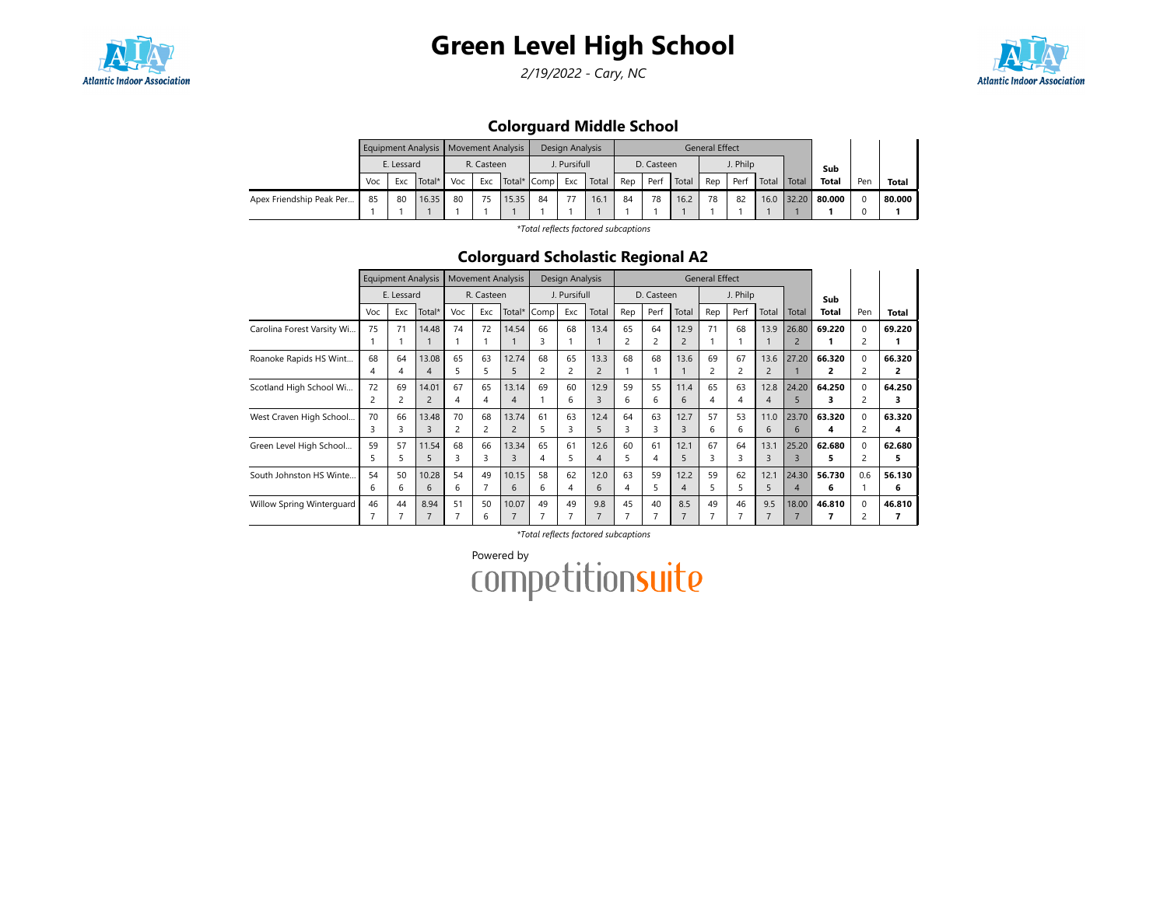

# Green Level High School

2/19/2022 - Cary, NC



## Colorguard Middle School

|                          |     |            | Equipment Analysis   Movement Analysis |     |            |               |    | Design Analysis |       |     |            |       | <b>General Effect</b> |          |       |       |              |     |        |
|--------------------------|-----|------------|----------------------------------------|-----|------------|---------------|----|-----------------|-------|-----|------------|-------|-----------------------|----------|-------|-------|--------------|-----|--------|
|                          |     | E. Lessard |                                        |     | R. Casteen |               |    | . Pursifull     |       |     | D. Casteen |       |                       | J. Philp |       |       | Sub          |     |        |
|                          | Voc | Exc        | Total*                                 | Voc | Exc        | Total*   Comp |    | Exc             | Total | Rep | Perf       | Total | Rep                   | Perf     | Total | Total | <b>Total</b> | Pen | Total  |
| Apex Friendship Peak Per | 85  | 80         | 16.35                                  | 80  | 75         | 15.35         | 84 | 77              | 16.7  | 84  | 78         | 16.2  | 78                    | 82       | 16.0  | 32.20 | 80.000       |     | 80.000 |
|                          |     |            |                                        |     |            |               |    |                 |       |     |            |       |                       |          |       |       |              |     |        |

\*Total reflects factored subcaptions

## Colorguard Scholastic Regional A2

|                            |          |            | <b>Equipment Analysis</b> |                      | <b>Movement Analysis</b> |                         |         | Design Analysis |                        |         |            |                        | <b>General Effect</b> |                      |                        |                         |              |                                        |              |
|----------------------------|----------|------------|---------------------------|----------------------|--------------------------|-------------------------|---------|-----------------|------------------------|---------|------------|------------------------|-----------------------|----------------------|------------------------|-------------------------|--------------|----------------------------------------|--------------|
|                            |          | E. Lessard |                           |                      | R. Casteen               |                         |         | J. Pursifull    |                        |         | D. Casteen |                        |                       | J. Philp             |                        |                         | Sub          |                                        |              |
|                            | Voc      | Exc        | Total*                    | Voc                  | Exc                      | Total*                  | Comp    | Exc             | Total                  | Rep     | Perf       | Total                  | Rep                   | Perf                 | Total                  | Total                   | <b>Total</b> | Pen                                    | Total        |
| Carolina Forest Varsity Wi | 75       | 71         | 14.48                     | 74                   | 72                       | 14.54                   | 66<br>3 | 68              | 13.4                   | 65<br>2 | 64<br>2    | 12.9<br>$\overline{2}$ | 71                    | 68                   | 13.9                   | 26.80<br>2              | 69.220       | $\Omega$<br>2                          | 69.220<br>1  |
| Roanoke Rapids HS Wint     | 68<br>4  | 64         | 13.08<br>4                | 65<br>5              | 63<br>5                  | 12.74<br>5              | 68<br>2 | 65              | 13.3<br>$\overline{c}$ | 68      | 68         | 13.6                   | 69                    | 67<br>$\overline{c}$ | 13.6<br>$\overline{2}$ | 27.20                   | 66.320<br>2  | $\Omega$<br>2                          | 66.320<br>2  |
| Scotland High School Wi    | 72<br>2  | 69         | 14.01<br>2                | 67<br>4              | 65<br>4                  | 13.14<br>4              | 69      | 60<br>6         | 12.9<br>3              | 59<br>6 | 55<br>6    | 11.4<br>6              | 65<br>4               | 63<br>4              | 12.8<br>4              | 24.20<br>5              | 64.250       | $\mathbf 0$<br>$\overline{\mathbf{c}}$ | 64.250<br>з  |
| West Craven High School    | 70       | 66         | 13.48<br>3                | 70<br>$\overline{c}$ | 68<br>$\overline{c}$     | 13.74<br>$\overline{c}$ | 61<br>5 | 63<br>3         | 12.4<br>5              | 64<br>3 | 63<br>3    | 12.7<br>3              | 57<br>6               | 53<br>6              | 11.0<br>6              | 23.70<br>6              | 63.320<br>4  | $\Omega$<br>$\overline{c}$             | 63.320<br>4  |
| Green Level High School    | 59<br>5. | 57<br>5    | 11.54<br>5                | 68<br>3              | 66<br>3                  | 13.34<br>3              | 65<br>4 | 61<br>5.        | 12.6<br>4              | 60<br>5 | 61<br>4    | 12.1<br>5              | 67<br>ξ               | 64<br>3              | 13.1<br>3              | 25.20<br>$\mathbf{R}$   | 62.680<br>5  | $\Omega$<br>$\overline{c}$             | 62.680<br>5. |
| South Johnston HS Winte    | 54<br>6  | 50<br>6    | 10.28<br>6                | 54<br>6              | 49<br>$\overline{7}$     | 10.15<br>6              | 58<br>6 | 62<br>4         | 12.0<br>6              | 63<br>4 | 59<br>5    | 12.2<br>$\overline{4}$ | 59<br>5               | 62<br>5              | 12.1<br>5.             | 24.30<br>$\overline{4}$ | 56.730<br>6  | 0.6                                    | 56.130<br>6  |
| Willow Spring Winterguard  | 46       | 44         | 8.94                      | 51                   | 50<br>6                  | 10.07                   | 49      | 49              | 9.8                    | 45      | 40         | 8.5                    | 49                    | 46                   | 9.5                    | 18.00                   | 46.810       | $\Omega$<br>2                          | 46.810       |

\*Total reflects factored subcaptions

Powered by<br>COMPetitionsuite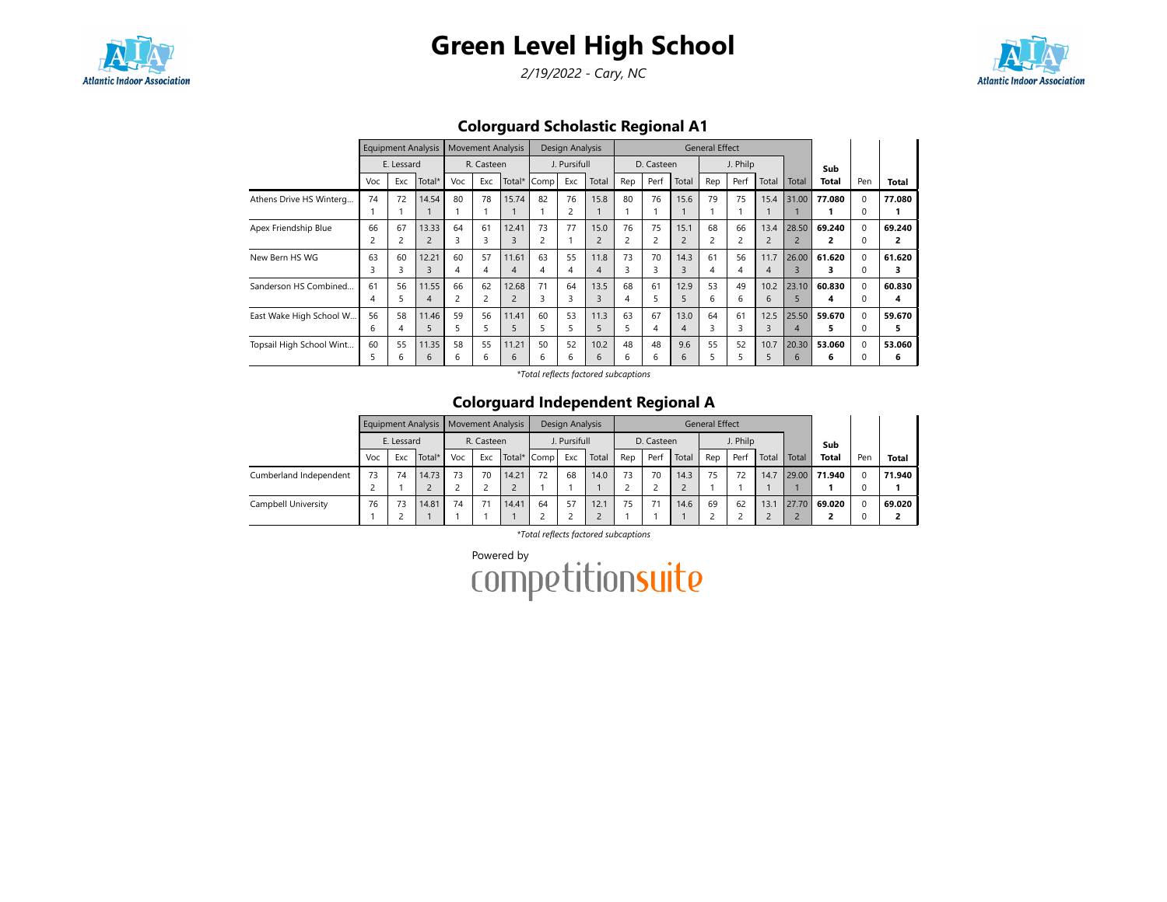

# Green Level High School

2/19/2022 - Cary, NC



Colorguard Scholastic Regional A1

|                          |     |            | Equipment Analysis |     | <b>Movement Analysis</b> |                       |      | Design Analysis |                  |     |                          |                | <b>General Effect</b> |          |                |       |        |          |        |
|--------------------------|-----|------------|--------------------|-----|--------------------------|-----------------------|------|-----------------|------------------|-----|--------------------------|----------------|-----------------------|----------|----------------|-------|--------|----------|--------|
|                          |     | E. Lessard |                    |     | R. Casteen               |                       |      | J. Pursifull    |                  |     | D. Casteen               |                |                       | J. Philp |                |       | Sub    |          |        |
|                          | Voc | Exc        | Total*             | Voc | Exc                      | Total*                | Comp | Exc             | Total            | Rep | Perf                     | Total          | Rep                   | Perf     | Total          | Total | Total  | Pen      | Total  |
| Athens Drive HS Winterg  | 74  | 72         | 14.54              | 80  | 78                       | 15.74                 | 82   | 76              | 15.8             | 80  | 76                       | 15.6           | 79                    | 75       | 15.4           | 31.00 | 77.080 |          | 77.080 |
|                          |     |            |                    |     |                          |                       |      | 2               |                  |     |                          |                |                       |          |                |       |        |          |        |
| Apex Friendship Blue     | 66  | 67         | 13.33              | 64  | 61                       | 12.41                 | 73   | 77              | 15.0             | 76  | 75                       | 15.1           | 68                    | 66       | 13.4           | 28.50 | 69.240 |          | 69.240 |
|                          |     | 2          | $\overline{2}$     | 3   | 3                        | 3                     |      |                 | $\overline{c}$   | 2   | $\overline{\phantom{a}}$ |                |                       | 2        | $\overline{2}$ |       |        |          | 2      |
| New Bern HS WG           | 63  | 60         | 12.21              | 60  | 57                       | 11.61                 | 63   | 55              | 11.8             | 73  | 70                       | 14.3           | 61                    | 56       | 11.7           | 26.00 | 61.620 |          | 61.620 |
|                          |     | 3          | $\overline{3}$     | 4   | 4                        | $\boldsymbol{\Delta}$ |      | 4               | 4                | 3   | 3                        | 3              | 4                     | 4        | $\overline{4}$ |       |        |          |        |
| Sanderson HS Combined    | 61  | 56         | 11.55              | 66  | 62                       | 12.68                 | 71   | 64              | 13.5             | 68  | 61                       | 12.9           | 53                    | 49       | 10.2           | 23.10 | 60.830 | $\Omega$ | 60.830 |
|                          | 4   |            | 4                  |     | 2                        |                       |      | 3               | 3                | 4   | 5                        | 5              | 6                     | 6        | 6              | 5     | 4      |          | 4      |
| East Wake High School W  | 56  | 58         | 11.46              | 59  | 56                       | 11.41                 | 60   | 53              | 11.3             | 63  | 67                       | 13.0           | 64                    | 61       | 12.5           | 25.50 | 59.670 |          | 59.670 |
|                          | b   | 4          | 5                  |     | 5                        |                       |      | 5               | 5                | 5   | 4                        | $\overline{4}$ |                       | 3        | 3              | 4     | 5      |          |        |
| Topsail High School Wint | 60  | 55         | 11.35              | 58  | 55                       | 11.21                 | 50   | 52              | 10.2             | 48  | 48                       | 9.6            | 55                    | 52       | 10.7           | 20.30 | 53.060 | $\Omega$ | 53.060 |
|                          |     | h          | 6                  | 6   | 6                        | 6                     | h    | 6               | $6 \overline{6}$ | 6   | 6                        | 6              |                       |          | 5              | 6     | 6      |          | 6      |

\*Total reflects factored subcaptions

#### Colorguard Independent Regional A

|                        |     |            | Equipment Analysis   Movement Analysis |     |            |             |    | Design Analysis |       |     |            |       | <b>General Effect</b> |          |       |       |              |     |              |
|------------------------|-----|------------|----------------------------------------|-----|------------|-------------|----|-----------------|-------|-----|------------|-------|-----------------------|----------|-------|-------|--------------|-----|--------------|
|                        |     | E. Lessard |                                        |     | R. Casteen |             |    | J. Pursifull    |       |     | D. Casteen |       |                       | J. Philp |       |       | Sub          |     |              |
|                        | Voc | Exc        | Total*                                 | Voc | Exc        | Total* Comp |    | Exc             | Total | Rep | Perf       | Total | Rep                   | Perf     | Total | Total | <b>Total</b> | Pen | <b>Total</b> |
| Cumberland Independent | 73  | 74         | 14.73                                  | 73  | 70         | 14.21       | 72 | 68              | 14.0  | 73  | 70         | 14.3  | 75                    | 72       | 14.7  | 29.00 | 71.940       |     | 71.940       |
|                        |     |            |                                        |     |            |             |    |                 |       |     |            |       |                       |          |       |       |              |     |              |
| Campbell University    | 76  | 73         | 14.81                                  | 74  | 71         | 14.41       | 64 | 57              | 12.1  | 75  |            | 14.6  | 69                    | 62       | 13.1  | 27.70 | 69.020       |     | 69.020       |
|                        |     |            |                                        |     |            |             |    |                 |       |     |            |       |                       |          |       |       |              |     |              |

\*Total reflects factored subcaptions

Powered by<br>COMPetitionsuite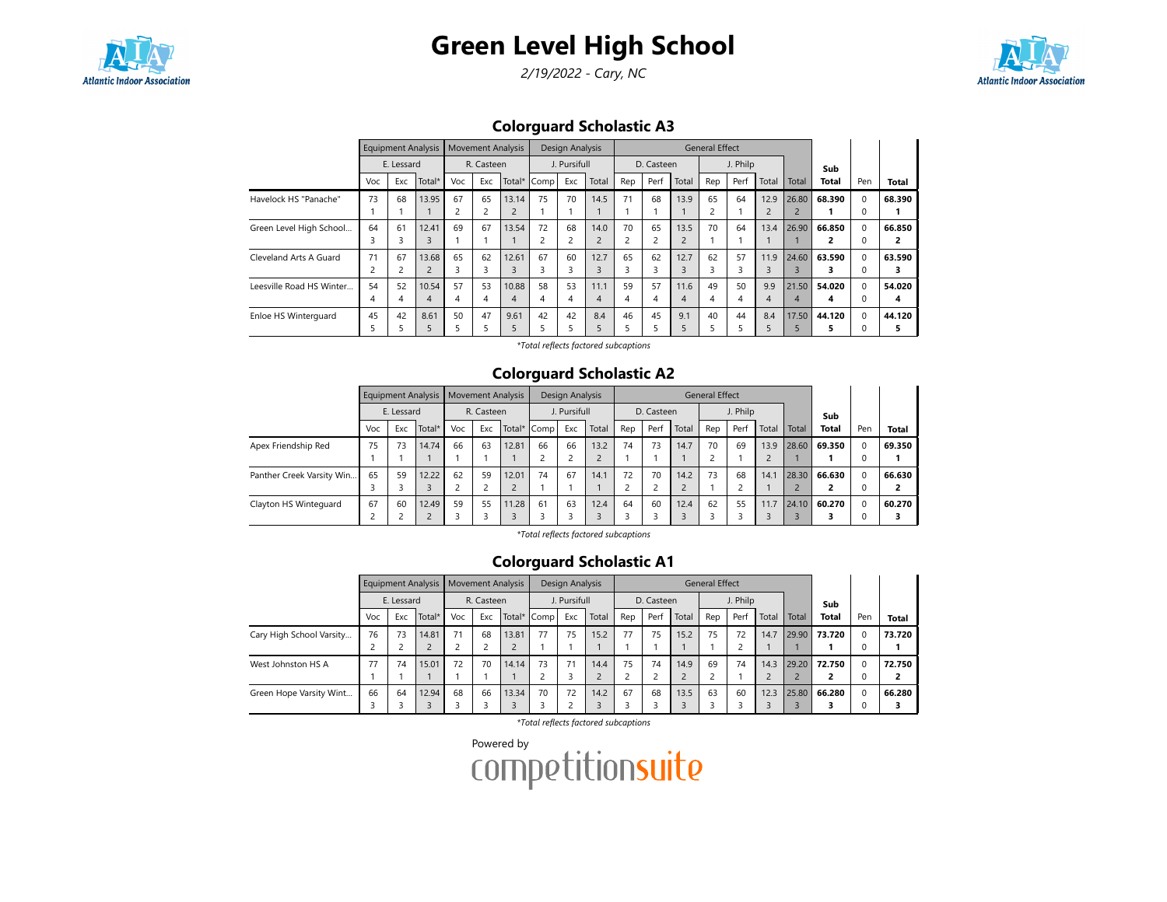



2/19/2022 - Cary, NC



Colorguard Scholastic A3

|                          |     |            | Equipment Analysis |                         | <b>Movement Analysis</b> |        |      | <b>Design Analysis</b> |                |     |            |       | <b>General Effect</b> |          |                |       |              |          |              |
|--------------------------|-----|------------|--------------------|-------------------------|--------------------------|--------|------|------------------------|----------------|-----|------------|-------|-----------------------|----------|----------------|-------|--------------|----------|--------------|
|                          |     | E. Lessard |                    |                         | R. Casteen               |        |      | J. Pursifull           |                |     | D. Casteen |       |                       | J. Philp |                |       | Sub          |          |              |
|                          | Voc | Exc        | Total*             | Voc                     | Exc                      | Total* | Comp | Exc                    | Total          | Rep | Perf       | Total | Rep                   | Perf     | Total          | Total | <b>Total</b> | Pen      | <b>Total</b> |
| Havelock HS "Panache"    | 73  | 68         | 13.95              | 67                      | 65                       | 13.14  | 75   | 70                     | 14.5           | 71  | 68         | 13.9  | 65                    | 64       | 12.9           | 26.80 | 68.390       | $\Omega$ | 68.390       |
|                          |     |            |                    | $\overline{\mathbf{c}}$ |                          |        |      |                        |                |     |            |       | 2                     |          | $\overline{2}$ |       |              | 0        |              |
| Green Level High School  | 64  | 61         | 12.41              | 69                      | 67                       | 13.54  | 72   | 68                     | 14.0           | 70  | 65         | 13.5  | 70                    | 64       | 13.4           | 26.90 | 66.850       | $\Omega$ | 66.850       |
|                          | 3   | 3          | 3                  |                         |                          |        | 2    | $\overline{2}$         | $\overline{2}$ | 2   | 2          |       |                       |          |                |       |              | $\Omega$ |              |
| Cleveland Arts A Guard   | 71  | 67         | 13.68              | 65                      | 62                       | 12.61  | 67   | 60                     | 12.7           | 65  | 62         | 12.7  | 62                    | 57       | 11.9           | 24.60 | 63.590       | $\Omega$ | 63.590       |
|                          | 2   |            |                    | 3                       | 3                        |        |      | 3                      |                | 3   |            |       | 3                     |          | 3              |       |              | 0        |              |
| Leesville Road HS Winter | 54  | 52         | 10.54              | 57                      | 53                       | 10.88  | 58   | 53                     | 11.1           | 59  | 57         | 11.6  | 49                    | 50       | 9.9            | 21.50 | 54.020       | $\Omega$ | 54.020       |
|                          | 4   | 4          | 4                  | 4                       | 4                        | 4      | 4    | 4                      | 4              | 4   | 4          | 4     | 4                     | 4        | 4              | 4     | 4            | $\Omega$ | 4            |
| Enloe HS Winterguard     | 45  | 42         | 8.61               | 50                      | 47                       | 9.61   | 42   | 42                     | 8.4            | 46  | 45         | 9.1   | 40                    | 44       | 8.4            | 17.50 | 44.120       | $\Omega$ | 44.120       |
|                          | 5   |            |                    |                         |                          |        |      | 5                      |                | 5   |            |       |                       |          |                |       |              |          |              |

\*Total reflects factored subcaptions

## Colorguard Scholastic A2

|                           |     |            | Equipment Analysis   Movement Analysis |     |            |             |    | Design Analysis |       |                |            |       | <b>General Effect</b> |          |       |       |              |          |              |
|---------------------------|-----|------------|----------------------------------------|-----|------------|-------------|----|-----------------|-------|----------------|------------|-------|-----------------------|----------|-------|-------|--------------|----------|--------------|
|                           |     | E. Lessard |                                        |     | R. Casteen |             |    | J. Pursifull    |       |                | D. Casteen |       |                       | J. Philp |       |       | Sub          |          |              |
|                           | Voc | Exc        | Total*                                 | Voc | Exc        | Total* Comp |    | Exc             | Total | Rep            | Perf       | Total | Rep                   | Perf     | Total | Total | <b>Total</b> | Pen      | <b>Total</b> |
| Apex Friendship Red       | 75  | 73         | 14.74                                  | 66  | 63         | 12.81       | 66 | 66              | 13.2  | 74             | 73         | 14.7  | 70                    | 69       | 13.9  | 28.60 | 69.350       | $\Omega$ | 69.350       |
|                           |     |            |                                        |     |            |             |    |                 |       |                |            |       |                       |          |       |       |              |          |              |
| Panther Creek Varsity Win | 65  | 59         | 12.22                                  | 62  | 59         | 12.01       | 74 | 67              | 14.1  | 72             | 70         | 14.2  | 73                    | 68       | 14.1  | 28.30 | 66.630       | $\Omega$ | 66.630       |
|                           |     |            |                                        |     |            |             |    |                 |       | $\overline{ }$ |            |       |                       |          |       |       |              |          | 2            |
| Clayton HS Winteguard     | 67  | 60         | 12.49                                  | 59  | 55         | 11.28       | 61 | 63              | 12.4  | 64             | 60         | 12.4  | 62                    | 55       | 11.7  | 24.10 | 60.270       | $\Omega$ | 60.270       |
|                           |     |            |                                        |     |            |             |    |                 |       |                |            |       |                       |          |       |       |              |          |              |

\*Total reflects factored subcaptions

## Colorguard Scholastic A1

|                          |     |            | <b>Equipment Analysis</b> | <b>Movement Analysis</b> |            |       |             | Design Analysis |       |                         |            |       | <b>General Effect</b> |          |       |       |              |          |              |
|--------------------------|-----|------------|---------------------------|--------------------------|------------|-------|-------------|-----------------|-------|-------------------------|------------|-------|-----------------------|----------|-------|-------|--------------|----------|--------------|
|                          |     | E. Lessard |                           |                          | R. Casteen |       |             | J. Pursifull    |       |                         | D. Casteen |       |                       | J. Philp |       |       | Sub          |          |              |
|                          | Voc | Exc        | Total*                    | Voc                      | Exc        |       | Total* Comp | Exc             | Total | Rep                     | Perf       | Total | Rep                   | Perf     | Total | Total | <b>Total</b> | Pen      | <b>Total</b> |
| Cary High School Varsity | 76  | 73         | 14.81                     | 71                       | 68         | 13.81 | 77          | 75              | 15.2  | 77                      | 75         | 15.2  | 75                    | 72       | 14.7  | 29.90 | 73.720       |          | 73.720       |
|                          |     |            | Ζ                         |                          |            |       |             |                 |       |                         |            |       |                       |          |       |       |              |          |              |
| West Johnston HS A       | 77  | 74         | 15.01                     | 72                       | 70         | 14.14 | 73          | 71              | 14.4  | 75                      | 74         | 14.9  | 69                    | 74       | 14.3  | 29.20 | 72.750       |          | 72.750       |
|                          |     |            |                           |                          |            |       |             | 3               |       | $\overline{\mathbf{c}}$ |            |       |                       |          |       |       |              |          |              |
| Green Hope Varsity Wint  | 66  | 64         | 12.94                     | 68                       | 66         | 13.34 | 70          | 72              | 14.2  | 67                      | 68         | 13.5  | 63                    | 60       | 12.3  | 25.80 | 66.280       | $\Omega$ | 66.280       |
|                          |     |            |                           |                          |            |       |             | ∍               |       | 3                       |            |       |                       |          |       |       |              |          |              |

\*Total reflects factored subcaptions